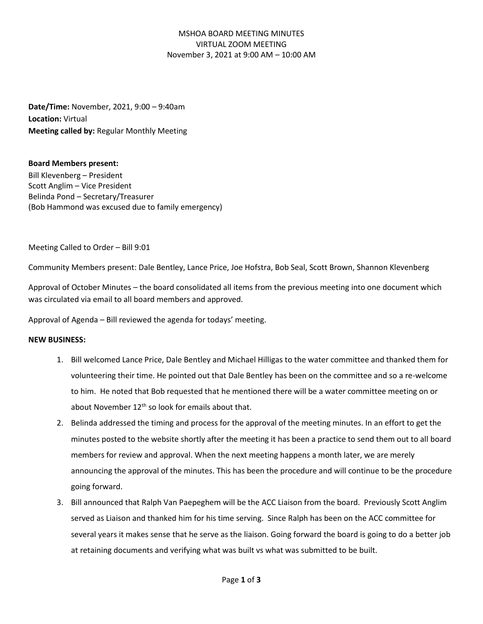# MSHOA BOARD MEETING MINUTES VIRTUAL ZOOM MEETING November 3, 2021 at 9:00 AM – 10:00 AM

**Date/Time:** November, 2021, 9:00 – 9:40am **Location:** Virtual **Meeting called by:** Regular Monthly Meeting

## **Board Members present:**

Bill Klevenberg – President Scott Anglim – Vice President Belinda Pond – Secretary/Treasurer (Bob Hammond was excused due to family emergency)

Meeting Called to Order – Bill 9:01

Community Members present: Dale Bentley, Lance Price, Joe Hofstra, Bob Seal, Scott Brown, Shannon Klevenberg

Approval of October Minutes – the board consolidated all items from the previous meeting into one document which was circulated via email to all board members and approved.

Approval of Agenda – Bill reviewed the agenda for todays' meeting.

#### **NEW BUSINESS:**

- 1. Bill welcomed Lance Price, Dale Bentley and Michael Hilligas to the water committee and thanked them for volunteering their time. He pointed out that Dale Bentley has been on the committee and so a re-welcome to him. He noted that Bob requested that he mentioned there will be a water committee meeting on or about November  $12<sup>th</sup>$  so look for emails about that.
- 2. Belinda addressed the timing and process for the approval of the meeting minutes. In an effort to get the minutes posted to the website shortly after the meeting it has been a practice to send them out to all board members for review and approval. When the next meeting happens a month later, we are merely announcing the approval of the minutes. This has been the procedure and will continue to be the procedure going forward.
- 3. Bill announced that Ralph Van Paepeghem will be the ACC Liaison from the board. Previously Scott Anglim served as Liaison and thanked him for his time serving. Since Ralph has been on the ACC committee for several years it makes sense that he serve as the liaison. Going forward the board is going to do a better job at retaining documents and verifying what was built vs what was submitted to be built.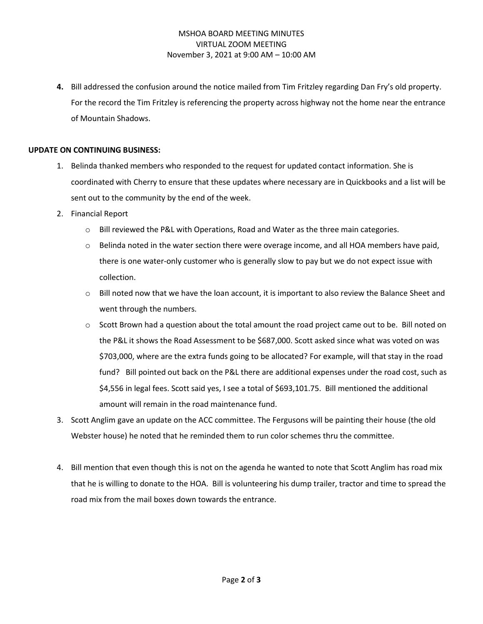# MSHOA BOARD MEETING MINUTES VIRTUAL ZOOM MEETING November 3, 2021 at 9:00 AM – 10:00 AM

**4.** Bill addressed the confusion around the notice mailed from Tim Fritzley regarding Dan Fry's old property. For the record the Tim Fritzley is referencing the property across highway not the home near the entrance of Mountain Shadows.

## **UPDATE ON CONTINUING BUSINESS:**

- 1. Belinda thanked members who responded to the request for updated contact information. She is coordinated with Cherry to ensure that these updates where necessary are in Quickbooks and a list will be sent out to the community by the end of the week.
- 2. Financial Report
	- o Bill reviewed the P&L with Operations, Road and Water as the three main categories.
	- $\circ$  Belinda noted in the water section there were overage income, and all HOA members have paid, there is one water-only customer who is generally slow to pay but we do not expect issue with collection.
	- $\circ$  Bill noted now that we have the loan account, it is important to also review the Balance Sheet and went through the numbers.
	- $\circ$  Scott Brown had a question about the total amount the road project came out to be. Bill noted on the P&L it shows the Road Assessment to be \$687,000. Scott asked since what was voted on was \$703,000, where are the extra funds going to be allocated? For example, will that stay in the road fund? Bill pointed out back on the P&L there are additional expenses under the road cost, such as \$4,556 in legal fees. Scott said yes, I see a total of \$693,101.75. Bill mentioned the additional amount will remain in the road maintenance fund.
- 3. Scott Anglim gave an update on the ACC committee. The Fergusons will be painting their house (the old Webster house) he noted that he reminded them to run color schemes thru the committee.
- 4. Bill mention that even though this is not on the agenda he wanted to note that Scott Anglim has road mix that he is willing to donate to the HOA. Bill is volunteering his dump trailer, tractor and time to spread the road mix from the mail boxes down towards the entrance.